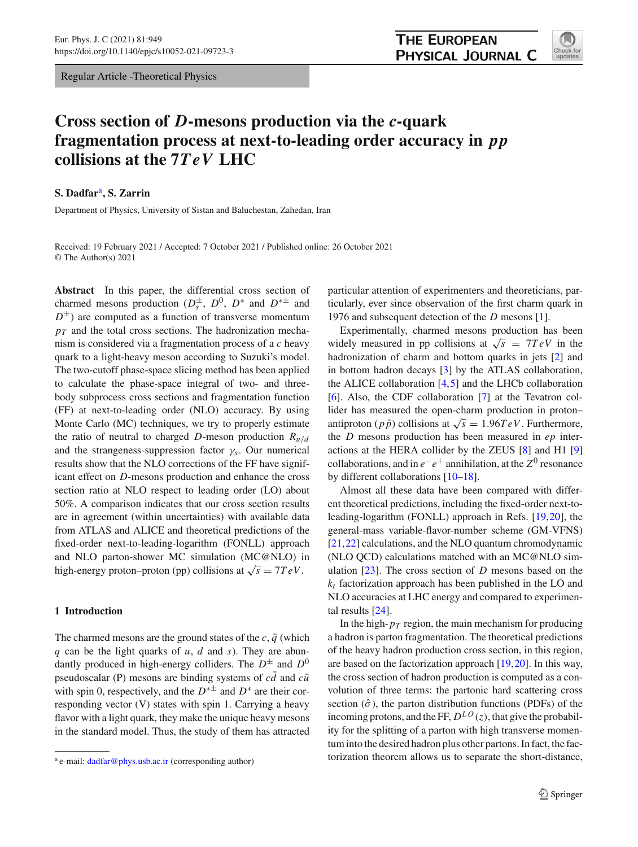Regular Article -Theoretical Physics



# **Cross section of** *D***-mesons production via the** *c***-quark fragmentation process at next-to-leading order accuracy in** *pp* **collisions at the 7***TeV* **LHC**

## **S. Dadfar**a**, S. Zarrin**

Department of Physics, University of Sistan and Baluchestan, Zahedan, Iran

Received: 19 February 2021 / Accepted: 7 October 2021 / Published online: 26 October 2021 © The Author(s) 2021

**Abstract** In this paper, the differential cross section of charmed mesons production  $(D_s^{\pm}, D^0, D^*$  and  $D^{*\pm}$  and  $D^{\pm}$ ) are computed as a function of transverse momentum  $p_T$  and the total cross sections. The hadronization mechanism is considered via a fragmentation process of a *c* heavy quark to a light-heavy meson according to Suzuki's model. The two-cutoff phase-space slicing method has been applied to calculate the phase-space integral of two- and threebody subprocess cross sections and fragmentation function (FF) at next-to-leading order (NLO) accuracy. By using Monte Carlo (MC) techniques, we try to properly estimate the ratio of neutral to charged *D*-meson production  $R_{u/d}$ and the strangeness-suppression factor  $\gamma_s$ . Our numerical results show that the NLO corrections of the FF have significant effect on *D*-mesons production and enhance the cross section ratio at NLO respect to leading order (LO) about 50%. A comparison indicates that our cross section results are in agreement (within uncertainties) with available data from ATLAS and ALICE and theoretical predictions of the fixed-order next-to-leading-logarithm (FONLL) approach and NLO parton-shower MC simulation (MC@NLO) in high-energy proton–proton (pp) collisions at  $\sqrt{s} = 7 TeV$ .

# **1 Introduction**

The charmed mesons are the ground states of the  $c$ ,  $\bar{q}$  (which *q* can be the light quarks of *u*, *d* and *s*). They are abundantly produced in high-energy colliders. The  $D^{\pm}$  and  $D^{0}$ pseudoscalar (P) mesons are binding systems of  $c\bar{d}$  and  $c\bar{u}$ with spin 0, respectively, and the  $D^{* \pm}$  and  $D^{*}$  are their corresponding vector (V) states with spin 1. Carrying a heavy flavor with a light quark, they make the unique heavy mesons in the standard model. Thus, the study of them has attracted

particular attention of experimenters and theoreticians, particularly, ever since observation of the first charm quark in 1976 and subsequent detection of the *D* mesons [\[1](#page-8-0)].

Experimentally, charmed mesons production has been widely measured in pp collisions at  $\sqrt{s}$  = 7*TeV* in the hadronization of charm and bottom quarks in jets [\[2\]](#page-8-1) and in bottom hadron decays [\[3\]](#page-8-2) by the ATLAS collaboration, the ALICE collaboration  $[4,5]$  $[4,5]$  $[4,5]$  and the LHCb collaboration [\[6](#page-8-5)]. Also, the CDF collaboration [\[7\]](#page-8-6) at the Tevatron collider has measured the open-charm production in proton– antiproton ( $p\bar{p}$ ) collisions at  $\sqrt{s} = 1.96 TeV$ . Furthermore, the *D* mesons production has been measured in *ep* interactions at the HERA collider by the ZEUS [\[8\]](#page-8-7) and H1 [\[9\]](#page-8-8) collaborations, and in  $e^-e^+$  annihilation, at the  $Z^0$  resonance by different collaborations [\[10](#page-8-9)[–18](#page-8-10)].

Almost all these data have been compared with different theoretical predictions, including the fixed-order next-toleading-logarithm (FONLL) approach in Refs. [\[19](#page-8-11)[,20](#page-8-12)], the general-mass variable-flavor-number scheme (GM-VFNS) [\[21](#page-8-13),[22\]](#page-8-14) calculations, and the NLO quantum chromodynamic (NLO QCD) calculations matched with an MC@NLO simulation [\[23\]](#page-8-15). The cross section of *D* mesons based on the  $k_t$  factorization approach has been published in the LO and NLO accuracies at LHC energy and compared to experimental results [\[24](#page-8-16)].

In the high- $p_T$  region, the main mechanism for producing a hadron is parton fragmentation. The theoretical predictions of the heavy hadron production cross section, in this region, are based on the factorization approach [\[19](#page-8-11)[,20](#page-8-12)]. In this way, the cross section of hadron production is computed as a convolution of three terms: the partonic hard scattering cross section  $(\hat{\sigma})$ , the parton distribution functions (PDFs) of the incoming protons, and the FF,  $D^{LO}(z)$ , that give the probability for the splitting of a parton with high transverse momentum into the desired hadron plus other partons. In fact, the factorization theorem allows us to separate the short-distance,

<sup>a</sup> e-mail: [dadfar@phys.usb.ac.ir](mailto:dadfar@phys.usb.ac.ir) (corresponding author)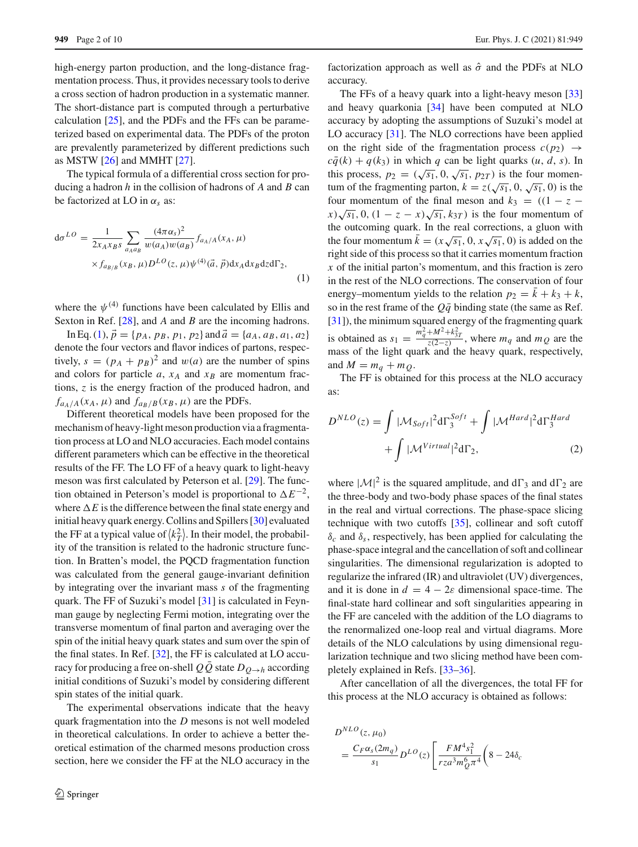high-energy parton production, and the long-distance fragmentation process. Thus, it provides necessary tools to derive a cross section of hadron production in a systematic manner. The short-distance part is computed through a perturbative calculation [\[25\]](#page-8-17), and the PDFs and the FFs can be parameterized based on experimental data. The PDFs of the proton are prevalently parameterized by different predictions such as MSTW [\[26](#page-8-18)] and MMHT [\[27\]](#page-8-19).

The typical formula of a differential cross section for producing a hadron *h* in the collision of hadrons of *A* and *B* can be factorized at LO in  $\alpha_s$  as:

<span id="page-1-0"></span>
$$
d\sigma^{LO} = \frac{1}{2x_A x_B s} \sum_{a_A a_B} \frac{(4\pi \alpha_s)^2}{w(a_A)w(a_B)} f_{a_A/A}(x_A, \mu) \times f_{a_B/B}(x_B, \mu) D^{LO}(z, \mu) \psi^{(4)}(\vec{a}, \vec{p}) dx_A dx_B dz d\Gamma_2,
$$
\n(1)

where the  $\psi^{(4)}$  functions have been calculated by Ellis and Sexton in Ref. [\[28\]](#page-8-20), and *A* and *B* are the incoming hadrons.

In Eq. [\(1\)](#page-1-0),  $\vec{p} = \{p_A, p_B, p_1, p_2\}$  and  $\vec{a} = \{a_A, a_B, a_1, a_2\}$ denote the four vectors and flavor indices of partons, respectively,  $s = (p_A + p_B)^2$  and  $w(a)$  are the number of spins and colors for particle  $a$ ,  $x_A$  and  $x_B$  are momentum fractions, *z* is the energy fraction of the produced hadron, and  $f_{a_A/A}(x_A, \mu)$  and  $f_{a_B/B}(x_B, \mu)$  are the PDFs.

Different theoretical models have been proposed for the mechanism of heavy-light meson production via a fragmentation process at LO and NLO accuracies. Each model contains different parameters which can be effective in the theoretical results of the FF. The LO FF of a heavy quark to light-heavy meson was first calculated by Peterson et al. [\[29](#page-9-0)]. The function obtained in Peterson's model is proportional to  $\Delta E^{-2}$ , where  $\Delta E$  is the difference between the final state energy and initial heavy quark energy. Collins and Spillers [\[30\]](#page-9-1) evaluated the FF at a typical value of  $\langle k_T^2 \rangle$ . In their model, the probability of the transition is related to the hadronic structure function. In Bratten's model, the PQCD fragmentation function was calculated from the general gauge-invariant definition by integrating over the invariant mass *s* of the fragmenting quark. The FF of Suzuki's model [\[31](#page-9-2)] is calculated in Feynman gauge by neglecting Fermi motion, integrating over the transverse momentum of final parton and averaging over the spin of the initial heavy quark states and sum over the spin of the final states. In Ref. [\[32](#page-9-3)], the FF is calculated at LO accuracy for producing a free on-shell  $Q\overline{Q}$  state  $D_{Q\rightarrow h}$  according initial conditions of Suzuki's model by considering different spin states of the initial quark.

The experimental observations indicate that the heavy quark fragmentation into the *D* mesons is not well modeled in theoretical calculations. In order to achieve a better theoretical estimation of the charmed mesons production cross section, here we consider the FF at the NLO accuracy in the

factorization approach as well as  $\hat{\sigma}$  and the PDFs at NLO accuracy.

The FFs of a heavy quark into a light-heavy meson [\[33\]](#page-9-4) and heavy quarkonia [\[34\]](#page-9-5) have been computed at NLO accuracy by adopting the assumptions of Suzuki's model at LO accuracy [\[31\]](#page-9-2). The NLO corrections have been applied on the right side of the fragmentation process  $c(p_2) \rightarrow$  $c\bar{q}(k) + q(k_3)$  in which *q* can be light quarks  $(u, d, s)$ . In this process,  $p_2 = (\sqrt{s_1}, 0, \sqrt{s_1}, p_{2T})$  is the four momentum of the fragmenting parton,  $k = z(\sqrt{s_1}, 0, \sqrt{s_1}, 0)$  is the four momentum of the final meson and  $k_3 = ((1 - z$  $f(x) \sqrt{s_1}$ , 0,  $(1 - z - x) \sqrt{s_1}$ ,  $k_{3T}$ ) is the four momentum of the outcoming quark. In the real corrections, a gluon with the four momentum  $\bar{k} = (x\sqrt{s_1}, 0, x\sqrt{s_1}, 0)$  is added on the right side of this process so that it carries momentum fraction *x* of the initial parton's momentum, and this fraction is zero in the rest of the NLO corrections. The conservation of four energy–momentum yields to the relation  $p_2 = k + k_3 + k$ , so in the rest frame of the  $Q\bar{q}$  binding state (the same as Ref. [\[31](#page-9-2)]), the minimum squared energy of the fragmenting quark is obtained as  $s_1 = \frac{m_q^2 + M^2 + k_{3T}^2}{z(2-z)}$ , where  $m_q$  and  $m_Q$  are the mass of the light quark and the heavy quark, respectively, and  $M = m_q + m_Q$ .

The FF is obtained for this process at the NLO accuracy as:

$$
D^{NLO}(z) = \int |\mathcal{M}_{Soft}|^2 d\Gamma_3^{Soft} + \int |\mathcal{M}^{Hard}|^2 d\Gamma_3^{Hard} + \int |\mathcal{M}^{Virtual}|^2 d\Gamma_2,
$$
 (2)

where  $|\mathcal{M}|^2$  is the squared amplitude, and d $\Gamma_3$  and d $\Gamma_2$  are the three-body and two-body phase spaces of the final states in the real and virtual corrections. The phase-space slicing technique with two cutoffs [\[35](#page-9-6)], collinear and soft cutoff  $\delta_c$  and  $\delta_s$ , respectively, has been applied for calculating the phase-space integral and the cancellation of soft and collinear singularities. The dimensional regularization is adopted to regularize the infrared (IR) and ultraviolet (UV) divergences, and it is done in  $d = 4 - 2\varepsilon$  dimensional space-time. The final-state hard collinear and soft singularities appearing in the FF are canceled with the addition of the LO diagrams to the renormalized one-loop real and virtual diagrams. More details of the NLO calculations by using dimensional regularization technique and two slicing method have been completely explained in Refs. [\[33](#page-9-4)[–36\]](#page-9-7).

After cancellation of all the divergences, the total FF for this process at the NLO accuracy is obtained as follows:

$$
D^{NLO}(z, \mu_0)
$$
  
= 
$$
\frac{C_F \alpha_s (2m_q)}{s_1} D^{LO}(z) \left[ \frac{F M^4 s_1^2}{r z a^3 m_Q^6 \pi^4} \left( 8 - 24 \delta_c \right) \right]
$$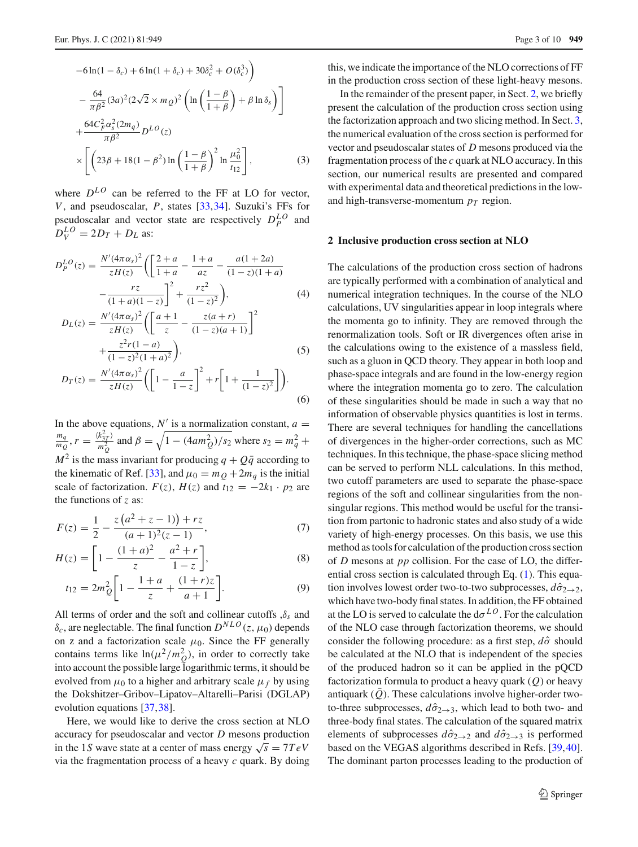$$
-6\ln(1 - \delta_c) + 6\ln(1 + \delta_c) + 30\delta_c^2 + O(\delta_c^3)
$$
  

$$
- \frac{64}{\pi\beta^2} (3a)^2 (2\sqrt{2} \times m_Q)^2 \left( \ln\left(\frac{1-\beta}{1+\beta}\right) + \beta \ln \delta_s \right) \bigg]
$$
  

$$
+ \frac{64C_F^2 \alpha_s^2 (2m_q)}{\pi\beta^2} D^{LO}(z)
$$
  

$$
\times \left[ \left( 23\beta + 18(1-\beta^2) \ln\left(\frac{1-\beta}{1+\beta}\right)^2 \ln \frac{\mu_0^2}{t_{12}} \right],
$$
 (3)

where  $D^{LO}$  can be referred to the FF at LO for vector, *V*, and pseudoscalar, *P*, states [\[33](#page-9-4),[34\]](#page-9-5). Suzuki's FFs for pseudoscalar and vector state are respectively  $D_P^{LO}$  and  $D_V^{LO} = 2D_T + D_L$  as:

$$
D_P^{LO}(z) = \frac{N'(4\pi\alpha_s)^2}{zH(z)} \left( \left[ \frac{2+a}{1+a} - \frac{1+a}{az} - \frac{a(1+2a)}{(1-z)(1+a)} - \frac{rz}{(1+a)(1-z)} \right]^2 + \frac{rz^2}{(1-z)^2} \right),\tag{4}
$$

$$
D_L(z) = \frac{N'(4\pi\alpha_s)^2}{zH(z)} \left( \left[ \frac{a+1}{z} - \frac{z(a+r)}{(1-z)(a+1)} \right]^2 + \frac{z^2r(1-a)}{(1-z)^2(1+a)^2} \right),
$$
\n
$$
D_T(z) = \frac{N'(4\pi\alpha_s)^2}{zH(z)} \left( \left[ 1 - \frac{a}{1-z} \right]^2 + r \left[ 1 + \frac{1}{(1-z)^2} \right] \right).
$$
\n(5)

$$
zH(z) = \left[zH(z) \left( \begin{bmatrix} 1 & 1-z \end{bmatrix}^{-1} \begin{bmatrix} 1 & (1-z)^2 \end{bmatrix} \right) \right]
$$
 (6)

In the above equations,  $N'$  is a normalization constant,  $a =$  $\frac{m_q}{m_Q}$ ,  $r = \frac{\langle k_{3T}^2 \rangle}{m_Q^2}$  and  $\beta = \sqrt{1 - (4am_Q^2)/s_2}$  where  $s_2 = m_q^2 +$  $M^2$  is the mass invariant for producing  $q + Q\bar{q}$  according to the kinematic of Ref. [\[33](#page-9-4)], and  $\mu_0 = m_Q + 2m_q$  is the initial scale of factorization.  $F(z)$ ,  $H(z)$  and  $t_{12} = -2k_1 \cdot p_2$  are the functions of *z* as:

$$
F(z) = \frac{1}{2} - \frac{z(a^2 + z - 1) + rz}{(a+1)^2(z-1)},
$$
\n(7)

$$
H(z) = \left[1 - \frac{(1+a)^2}{z} - \frac{a^2 + r}{1-z}\right],\tag{8}
$$

$$
t_{12} = 2m_Q^2 \bigg[ 1 - \frac{1+a}{z} + \frac{(1+r)z}{a+1} \bigg].
$$
 (9)

All terms of order and the soft and collinear cutoffs ,δ*s* and  $\delta_c$ , are neglectable. The final function  $D^{NLO}(z, \mu_0)$  depends on z and a factorization scale  $\mu_0$ . Since the FF generally contains terms like  $\ln(\mu^2/m_Q^2)$ , in order to correctly take into account the possible large logarithmic terms, it should be evolved from  $\mu_0$  to a higher and arbitrary scale  $\mu_f$  by using the Dokshitzer–Gribov–Lipatov–Altarelli–Parisi (DGLAP) evolution equations [\[37,](#page-9-8)[38\]](#page-9-9).

Here, we would like to derive the cross section at NLO accuracy for pseudoscalar and vector *D* mesons production in the 1*S* wave state at a center of mass energy  $\sqrt{s} = 7 TeV$ via the fragmentation process of a heavy *c* quark. By doing

this, we indicate the importance of the NLO corrections of FF in the production cross section of these light-heavy mesons.

In the remainder of the present paper, in Sect. [2,](#page-2-0) we briefly present the calculation of the production cross section using the factorization approach and two slicing method. In Sect. [3,](#page-5-0) the numerical evaluation of the cross section is performed for vector and pseudoscalar states of *D* mesons produced via the fragmentation process of the *c* quark at NLO accuracy. In this section, our numerical results are presented and compared with experimental data and theoretical predictions in the lowand high-transverse-momentum  $p_T$  region.

### <span id="page-2-0"></span>**2 Inclusive production cross section at NLO**

The calculations of the production cross section of hadrons are typically performed with a combination of analytical and numerical integration techniques. In the course of the NLO calculations, UV singularities appear in loop integrals where the momenta go to infinity. They are removed through the renormalization tools. Soft or IR divergences often arise in the calculations owing to the existence of a massless field, such as a gluon in QCD theory. They appear in both loop and phase-space integrals and are found in the low-energy region where the integration momenta go to zero. The calculation of these singularities should be made in such a way that no information of observable physics quantities is lost in terms. There are several techniques for handling the cancellations of divergences in the higher-order corrections, such as MC techniques. In this technique, the phase-space slicing method can be served to perform NLL calculations. In this method, two cutoff parameters are used to separate the phase-space regions of the soft and collinear singularities from the nonsingular regions. This method would be useful for the transition from partonic to hadronic states and also study of a wide variety of high-energy processes. On this basis, we use this method as tools for calculation of the production cross section of *D* mesons at *pp* collision. For the case of LO, the differential cross section is calculated through Eq. [\(1\)](#page-1-0). This equation involves lowest order two-to-two subprocesses,  $d\hat{\sigma}_{2\rightarrow 2}$ , which have two-body final states. In addition, the FF obtained at the LO is served to calculate the  $d\sigma^{LO}$ . For the calculation of the NLO case through factorization theorems, we should consider the following procedure: as a first step,  $d\hat{\sigma}$  should be calculated at the NLO that is independent of the species of the produced hadron so it can be applied in the pQCD factorization formula to product a heavy quark (*Q*) or heavy antiquark  $(Q)$ . These calculations involve higher-order twoto-three subprocesses,  $d\hat{\sigma}_{2\rightarrow 3}$ , which lead to both two- and three-body final states. The calculation of the squared matrix elements of subprocesses  $d\hat{\sigma}_{2\rightarrow 2}$  and  $d\hat{\sigma}_{2\rightarrow 3}$  is performed based on the VEGAS algorithms described in Refs. [\[39](#page-9-10)[,40](#page-9-11)]. The dominant parton processes leading to the production of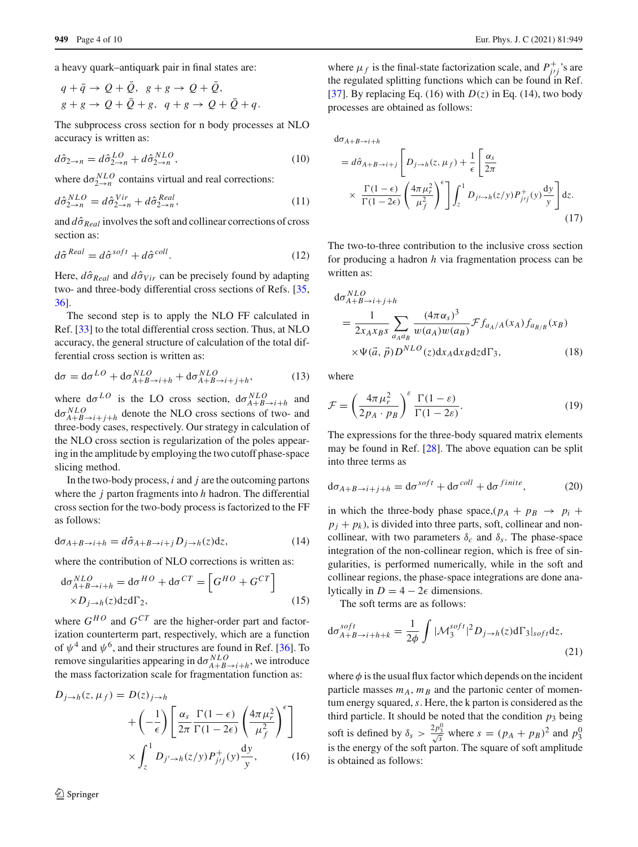a heavy quark–antiquark pair in final states are:

$$
q + \overline{q} \to Q + \overline{Q}, \quad g + g \to Q + \overline{Q},
$$
  

$$
g + g \to Q + \overline{Q} + g, \quad q + g \to Q + \overline{Q} + q.
$$

The subprocess cross section for n body processes at NLO accuracy is written as:

$$
d\hat{\sigma}_{2 \to n} = d\hat{\sigma}_{2 \to n}^{LO} + d\hat{\sigma}_{2 \to n}^{NLO},\tag{10}
$$

where  $d\sigma_{2\rightarrow n}^{NLO}$  contains virtual and real corrections:

$$
d\hat{\sigma}_{2 \to n}^{NLO} = d\hat{\sigma}_{2 \to n}^{Vir} + d\hat{\sigma}_{2 \to n}^{Real}, \qquad (11)
$$

and  $d\hat{\sigma}_{Real}$  involves the soft and collinear corrections of cross section as:

$$
d\hat{\sigma}^{Real} = d\hat{\sigma}^{soft} + d\hat{\sigma}^{coll}.
$$
 (12)

Here,  $d\hat{\sigma}_{Real}$  and  $d\hat{\sigma}_{Vir}$  can be precisely found by adapting two- and three-body differential cross sections of Refs. [\[35,](#page-9-6) [36\]](#page-9-7).

The second step is to apply the NLO FF calculated in Ref. [\[33](#page-9-4)] to the total differential cross section. Thus, at NLO accuracy, the general structure of calculation of the total differential cross section is written as:

$$
d\sigma = d\sigma^{LO} + d\sigma_{A+B \to i+h}^{NLO} + d\sigma_{A+B \to i+j+h}^{NLO},
$$
 (13)

where  $d\sigma^{LO}$  is the LO cross section,  $d\sigma^{NLO}_{A+B\to i+h}$  and  $d\sigma_{A+B\to i+j+h}^{NLO}$  denote the NLO cross sections of two- and three-body cases, respectively. Our strategy in calculation of the NLO cross section is regularization of the poles appearing in the amplitude by employing the two cutoff phase-space slicing method.

In the two-body process, *i* and *j* are the outcoming partons where the *j* parton fragments into *h* hadron. The differential cross section for the two-body process is factorized to the FF as follows:

$$
d\sigma_{A+B\to i+h} = d\hat{\sigma}_{A+B\to i+j} D_{j\to h}(z) dz,
$$
\n(14)

where the contribution of NLO corrections is written as:

$$
d\sigma_{A+B \to i+h}^{NLO} = d\sigma^{HO} + d\sigma^{CT} = \left[ G^{HO} + G^{CT} \right]
$$
  
 
$$
\times D_{j \to h}(z) dz d\Gamma_2,
$$
 (15)

 $\Gamma = 1.1$ 

where  $G^{HO}$  and  $G^{CT}$  are the higher-order part and factorization counterterm part, respectively, which are a function of  $\psi^4$  and  $\psi^6$ , and their structures are found in Ref. [\[36\]](#page-9-7). To remove singularities appearing in  $d\sigma_{A+B\rightarrow i+h}^{NLO}$ , we introduce the mass factorization scale for fragmentation function as:

$$
D_{j \to h}(z, \mu_f) = D(z)_{j \to h}
$$
  
+ 
$$
\left(-\frac{1}{\epsilon}\right) \left[\frac{\alpha_s}{2\pi} \frac{\Gamma(1-\epsilon)}{\Gamma(1-2\epsilon)} \left(\frac{4\pi \mu_r^2}{\mu_f^2}\right)^{\epsilon}\right]
$$
  

$$
\times \int_z^1 D_{j' \to h}(z/y) P_{j'j}^+(y) \frac{dy}{y}, \qquad (16)
$$

where  $\mu_f$  is the final-state factorization scale, and  $P_{j'j}^+$ 's are the regulated splitting functions which can be found in Ref. [\[37](#page-9-8)]. By replacing Eq. (16) with  $D(z)$  in Eq. (14), two body processes are obtained as follows:

$$
d\sigma_{A+B\to i+h}
$$
  
=  $d\hat{\sigma}_{A+B\to i+j} \left[ D_{j\to h}(z, \mu_f) + \frac{1}{\epsilon} \left[ \frac{\alpha_s}{2\pi} \times \frac{\Gamma(1-\epsilon)}{\Gamma(1-2\epsilon)} \left( \frac{4\pi \mu_r^2}{\mu_f^2} \right)^{\epsilon} \right] \int_z^1 D_{j\to h}(z/y) P_{j\prime j}^+(y) \frac{dy}{y} \right] dz.$   
(17)

The two-to-three contribution to the inclusive cross section for producing a hadron *h* via fragmentation process can be written as:

$$
d\sigma_{A+B \to i+j+h}^{NLO}
$$
  
= 
$$
\frac{1}{2x_{A}x_{B}s} \sum_{a_{A}a_{B}} \frac{(4\pi \alpha_{s})^{3}}{w(a_{A})w(a_{B})} \mathcal{F} f_{a_{A}/A}(x_{A}) f_{a_{B/B}}(x_{B})
$$
  

$$
\times \Psi(\vec{a}, \vec{p}) D^{NLO}(z) dx_{A} dx_{B} dz d\Gamma_{3},
$$
 (18)

where

$$
\mathcal{F} = \left(\frac{4\pi\mu_r^2}{2p_A \cdot p_B}\right)^{\varepsilon} \frac{\Gamma(1-\varepsilon)}{\Gamma(1-2\varepsilon)}.
$$
\n(19)

The expressions for the three-body squared matrix elements may be found in Ref. [\[28\]](#page-8-20). The above equation can be split into three terms as

$$
d\sigma_{A+B \to i+j+h} = d\sigma^{soft} + d\sigma^{coll} + d\sigma^{finite}, \qquad (20)
$$

in which the three-body phase space,  $(p_A + p_B \rightarrow p_i + p_A)$  $p_i + p_k$ ), is divided into three parts, soft, collinear and noncollinear, with two parameters  $\delta_c$  and  $\delta_s$ . The phase-space integration of the non-collinear region, which is free of singularities, is performed numerically, while in the soft and collinear regions, the phase-space integrations are done analytically in  $D = 4 - 2\epsilon$  dimensions.

The soft terms are as follows:

$$
\mathrm{d}\sigma_{A+B \to i+h+k}^{soft} = \frac{1}{2\phi} \int |\mathcal{M}_3^{soft}|^2 D_{j \to h}(z) \mathrm{d}\Gamma_3|_{soft} \mathrm{d}z,\tag{21}
$$

where  $\phi$  is the usual flux factor which depends on the incident particle masses  $m_A$ ,  $m_B$  and the partonic center of momentum energy squared,*s*. Here, the k parton is considered as the third particle. It should be noted that the condition  $p_3$  being soft is defined by  $\delta_s > \frac{2p_3^0}{\sqrt{s}}$  where  $s = (p_A + p_B)^2$  and  $p_3^0$ is the energy of the soft parton. The square of soft amplitude is obtained as follows: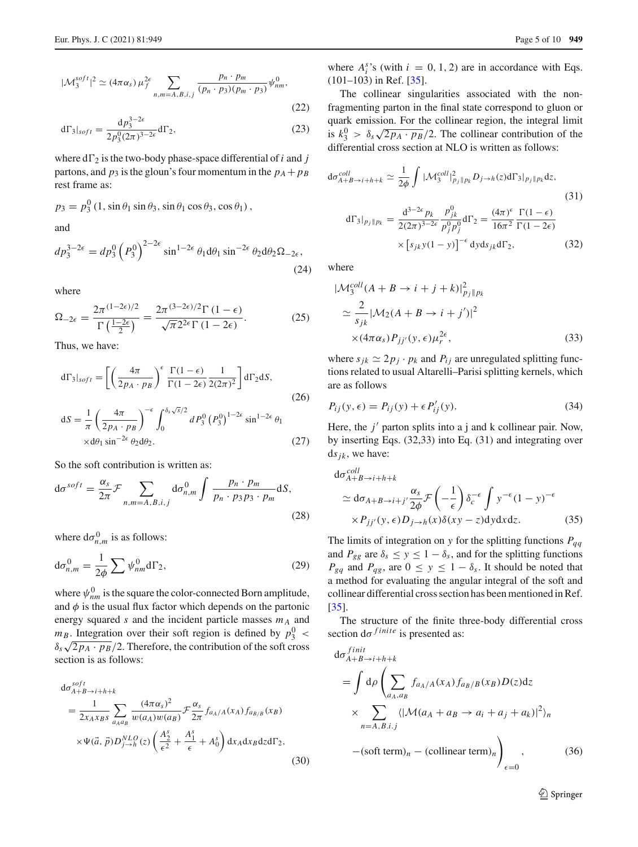$$
d\Gamma_3|_{soft} = \frac{dp_3^{3-2\epsilon}}{2p_3^0(2\pi)^{3-2\epsilon}} d\Gamma_2,
$$
\n(23)

where  $d\Gamma_2$  is the two-body phase-space differential of *i* and *j* partons, and  $p_3$  is the gloun's four momentum in the  $p_A + p_B$ rest frame as:

$$
p_3 = p_3^0 (1, \sin \theta_1 \sin \theta_3, \sin \theta_1 \cos \theta_3, \cos \theta_1),
$$
  
and

$$
dp_3^{3-2\epsilon} = dp_3^0 \left(P_3^0\right)^{2-2\epsilon} \sin^{1-2\epsilon} \theta_1 d\theta_1 \sin^{-2\epsilon} \theta_2 d\theta_2 \Omega_{-2\epsilon},\tag{24}
$$

where

$$
\Omega_{-2\epsilon} = \frac{2\pi^{(1-2\epsilon)/2}}{\Gamma\left(\frac{1-2\epsilon}{2}\right)} = \frac{2\pi^{(3-2\epsilon)/2}\Gamma\left(1-\epsilon\right)}{\sqrt{\pi}2^{2\epsilon}\Gamma\left(1-2\epsilon\right)}.\tag{25}
$$

Thus, we have:

$$
d\Gamma_3|_{soft} = \left[ \left( \frac{4\pi}{2p_A \cdot p_B} \right)^{\epsilon} \frac{\Gamma(1-\epsilon)}{\Gamma(1-2\epsilon)} \frac{1}{2(2\pi)^2} \right] d\Gamma_2 dS,
$$
\n(26)\n
$$
dS = \frac{1}{\pi} \left( \frac{4\pi}{2p_A \cdot p_B} \right)^{-\epsilon} \int_0^{\delta_s \sqrt{s}/2} dP_3^0 (P_3^0)^{1-2\epsilon} \sin^{1-2\epsilon} \theta_1
$$
\n
$$
\times d\theta_1 \sin^{-2\epsilon} \theta_2 d\theta_2.
$$
\n(27)

So the soft contribution is written as:

$$
d\sigma^{soft} = \frac{\alpha_s}{2\pi} \mathcal{F} \sum_{n,m=A,B,i,j} d\sigma_{n,m}^0 \int \frac{p_n \cdot p_m}{p_n \cdot p_3 p_3 \cdot p_m} dS,
$$
\n(28)

where  $d\sigma_{n,m}^0$  is as follows:

$$
d\sigma_{n,m}^0 = \frac{1}{2\phi} \sum \psi_{nm}^0 d\Gamma_2,
$$
 (29)

where  $\psi_{nm}^0$  is the square the color-connected Born amplitude, and  $\phi$  is the usual flux factor which depends on the partonic energy squared *s* and the incident particle masses  $m_A$  and  $m_B$ . Integration over their soft region is defined by  $p_3^0$  <  $\delta_s \sqrt{2p_A \cdot p_B}/2$ . Therefore, the contribution of the soft cross section is as follows:

$$
d\sigma_{A+B\to i+h+k}^{soft}
$$
  
= 
$$
\frac{1}{2x_Ax_Bs} \sum_{a_Aa_B} \frac{(4\pi\alpha_s)^2}{w(a_A)w(a_B)} \mathcal{F} \frac{\alpha_s}{2\pi} f_{a_A/A}(x_A) f_{a_{B/B}}(x_B)
$$
  

$$
\times \Psi(\vec{a}, \vec{p}) D_{j\to h}^{NLO}(z) \left(\frac{A_2^s}{\epsilon^2} + \frac{A_1^s}{\epsilon} + A_0^s\right) dx_A dx_B dz d\Gamma_2,
$$
 (30)

where  $A_i^s$ 's (with  $i = 0, 1, 2$ ) are in accordance with Eqs. (101–103) in Ref. [\[35](#page-9-6)].

The collinear singularities associated with the nonfragmenting parton in the final state correspond to gluon or quark emission. For the collinear region, the integral limit is  $k_3^0 > \delta_s \sqrt{2p_A \cdot p_B}/2$ . The collinear contribution of the differential cross section at NLO is written as follows:

$$
d\sigma_{A+B \to i+h+k}^{coll} \simeq \frac{1}{2\phi} \int |\mathcal{M}_3^{coll}|^2_{p_j \| p_k} D_{j \to h}(z) d\Gamma_3 |_{p_j \| p_k} dz,
$$
\n(31)\n
$$
d\Gamma_3 |_{p_j \| p_k} = \frac{d^{3-2\epsilon} p_k}{2(2\pi)^{3-2\epsilon}} \frac{p_{jk}^0}{p_j^0 p_j^0} d\Gamma_2 = \frac{(4\pi)^{\epsilon}}{16\pi^2} \frac{\Gamma(1-\epsilon)}{\Gamma(1-2\epsilon)}
$$
\n
$$
\times \left[ s_{jk} y(1-y) \right]^{-\epsilon} dy ds_{jk} d\Gamma_2,
$$
\n(32)

where

$$
|\mathcal{M}_3^{coll}(A + B \to i + j + k)|_{p_j||p_k}^2
$$
  
\n
$$
\simeq \frac{2}{s_{jk}} |\mathcal{M}_2(A + B \to i + j')|^2
$$
  
\n
$$
\times (4\pi \alpha_s) P_{jj'}(y, \epsilon) \mu_r^{2\epsilon},
$$
\n(33)

where  $s_{jk} \simeq 2p_j \cdot p_k$  and  $P_{ij}$  are unregulated splitting functions related to usual Altarelli–Parisi splitting kernels, which are as follows

$$
P_{ij}(y,\epsilon) = P_{ij}(y) + \epsilon P'_{ij}(y). \tag{34}
$$

Here, the  $j'$  parton splits into a j and k collinear pair. Now, by inserting Eqs. (32,33) into Eq. (31) and integrating over  $ds_{ik}$ , we have:

$$
d\sigma_{A+B\to i+h+k}^{coll}
$$
  
\n
$$
\simeq d\sigma_{A+B\to i+j'} \frac{\alpha_s}{2\phi} \mathcal{F}\left(-\frac{1}{\epsilon}\right) \delta_c^{-\epsilon} \int y^{-\epsilon} (1-y)^{-\epsilon}
$$
  
\n
$$
\times P_{jj'}(y,\epsilon) D_{j\to h}(x) \delta(xy-z) dy dx dz.
$$
 (35)

The limits of integration on *y* for the splitting functions  $P_{qq}$ and  $P_{gg}$  are  $\delta_s \leq y \leq 1 - \delta_s$ , and for the splitting functions  $P_{gg}$  and  $P_{qg}$ , are  $0 \le y \le 1 - \delta_s$ . It should be noted that a method for evaluating the angular integral of the soft and collinear differential cross section has been mentioned in Ref. [\[35](#page-9-6)].

The structure of the finite three-body differential cross section  $d\sigma^{finite}$  is presented as:

$$
d\sigma_{A+B\to i+h+k}^{finit}
$$
  
=  $\int d\rho \left( \sum_{a_A, a_B} f_{a_A/A}(x_A) f_{a_B/B}(x_B) D(z) dz \right)$   
 $\times \sum_{n=A, B.i.j} \langle |\mathcal{M}(a_A + a_B \to a_i + a_j + a_k)|^2 \rangle_n$   
– (soft term)<sub>n</sub> – (collinear term)<sub>n</sub>  $\Big)_{\epsilon=0}$ , (36)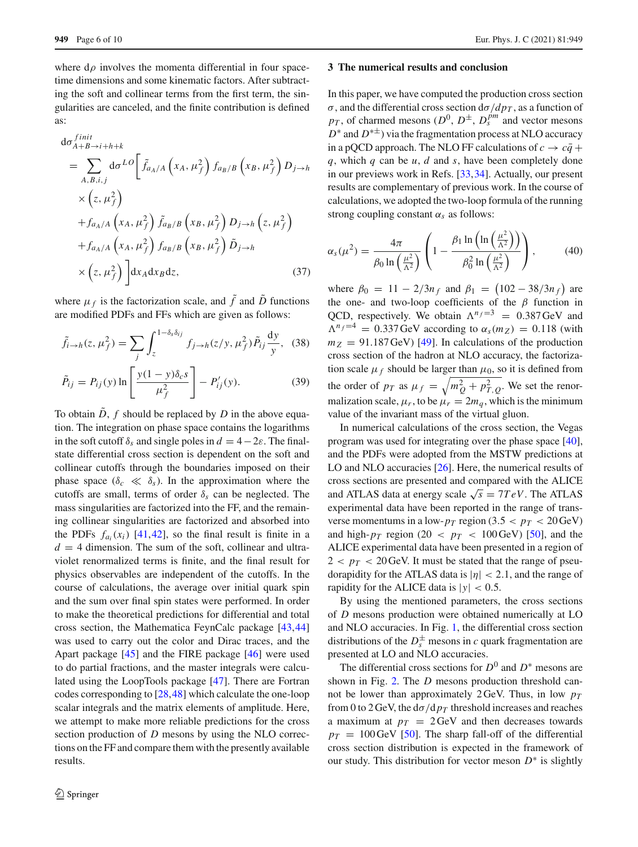where  $d\rho$  involves the momenta differential in four spacetime dimensions and some kinematic factors. After subtracting the soft and collinear terms from the first term, the singularities are canceled, and the finite contribution is defined as:

$$
d\sigma_{A+B\to i+h+k}^{finit}
$$
\n
$$
= \sum_{A,B,i,j} d\sigma^{LO} \left[ \tilde{f}_{a_A/A} \left( x_A, \mu_f^2 \right) f_{a_B/B} \left( x_B, \mu_f^2 \right) D_{j\to h} \right]
$$
\n
$$
\times \left( z, \mu_f^2 \right)
$$
\n
$$
+ f_{a_A/A} \left( x_A, \mu_f^2 \right) \tilde{f}_{a_B/B} \left( x_B, \mu_f^2 \right) D_{j\to h} \left( z, \mu_f^2 \right)
$$
\n
$$
+ f_{a_A/A} \left( x_A, \mu_f^2 \right) f_{a_B/B} \left( x_B, \mu_f^2 \right) \tilde{D}_{j\to h}
$$
\n
$$
\times \left( z, \mu_f^2 \right) \left[ dx_A dx_B dz, \right] \tag{37}
$$

where  $\mu_f$  is the factorization scale, and  $\tilde{f}$  and  $\tilde{D}$  functions are modified PDFs and FFs which are given as follows:

$$
\tilde{f}_{i \to h}(z, \mu_f^2) = \sum_j \int_z^{1 - \delta_s \delta_{ij}} f_{j \to h}(z/y, \mu_f^2) \tilde{P}_{ij} \frac{dy}{y}, \quad (38)
$$

$$
\tilde{P}_{ij} = P_{ij}(y) \ln \left[ \frac{y(1-y)\delta_c s}{\mu_f^2} \right] - P'_{ij}(y). \tag{39}
$$

To obtain  $\ddot{D}$ ,  $f$  should be replaced by  $\ddot{D}$  in the above equation. The integration on phase space contains the logarithms in the soft cutoff  $\delta_s$  and single poles in  $d = 4-2\varepsilon$ . The finalstate differential cross section is dependent on the soft and collinear cutoffs through the boundaries imposed on their phase space  $(\delta_c \ll \delta_s)$ . In the approximation where the cutoffs are small, terms of order  $\delta_s$  can be neglected. The mass singularities are factorized into the FF, and the remaining collinear singularities are factorized and absorbed into the PDFs  $f_{a_i}(x_i)$  [\[41](#page-9-12),[42\]](#page-9-13), so the final result is finite in a  $d = 4$  dimension. The sum of the soft, collinear and ultraviolet renormalized terms is finite, and the final result for physics observables are independent of the cutoffs. In the course of calculations, the average over initial quark spin and the sum over final spin states were performed. In order to make the theoretical predictions for differential and total cross section, the Mathematica FeynCalc package [\[43,](#page-9-14)[44\]](#page-9-15) was used to carry out the color and Dirac traces, and the Apart package [\[45\]](#page-9-16) and the FIRE package [\[46](#page-9-17)] were used to do partial fractions, and the master integrals were calculated using the LoopTools package [\[47](#page-9-18)]. There are Fortran codes corresponding to [\[28,](#page-8-20)[48\]](#page-9-19) which calculate the one-loop scalar integrals and the matrix elements of amplitude. Here, we attempt to make more reliable predictions for the cross section production of *D* mesons by using the NLO corrections on the FF and compare them with the presently available results.

#### <span id="page-5-0"></span>**3 The numerical results and conclusion**

In this paper, we have computed the production cross section  $\sigma$ , and the differential cross section  $d\sigma/dp_T$ , as a function of  $p_T$ , of charmed mesons  $(D^0, D^{\pm}, D_s^{pm})$  and vector mesons *D*<sup>∗</sup> and *D*<sup>∗±</sup>) via the fragmentation process at NLO accuracy in a pQCD approach. The NLO FF calculations of  $c \rightarrow c\bar{q}$  + *q*, which *q* can be *u*, *d* and *s*, have been completely done in our previews work in Refs. [\[33,](#page-9-4)[34\]](#page-9-5). Actually, our present results are complementary of previous work. In the course of calculations, we adopted the two-loop formula of the running strong coupling constant  $\alpha_s$  as follows:

$$
\alpha_s(\mu^2) = \frac{4\pi}{\beta_0 \ln\left(\frac{\mu^2}{\Lambda^2}\right)} \left(1 - \frac{\beta_1 \ln\left(\ln\left(\frac{\mu^2}{\Lambda^2}\right)\right)}{\beta_0^2 \ln\left(\frac{\mu^2}{\Lambda^2}\right)}\right),\tag{40}
$$

where  $\beta_0 = 11 - 2/3n_f$  and  $\beta_1 = (102 - 38/3n_f)$  are the one- and two-loop coefficients of the  $\beta$  function in QCD, respectively. We obtain  $\Lambda^{n_f=3} = 0.387 \text{ GeV}$  and  $\Lambda^{n_f=4} = 0.337$  GeV according to  $\alpha_s(m_Z) = 0.118$  (with  $m_Z$  = 91.187 GeV) [\[49](#page-9-20)]. In calculations of the production cross section of the hadron at NLO accuracy, the factorization scale  $\mu_f$  should be larger than  $\mu_0$ , so it is defined from the order of  $p_T$  as  $\mu_f = \sqrt{m_Q^2 + p_{T,Q}^2}$ . We set the renormalization scale,  $\mu_r$ , to be  $\mu_r = 2m_q$ , which is the minimum value of the invariant mass of the virtual gluon.

In numerical calculations of the cross section, the Vegas program was used for integrating over the phase space [\[40](#page-9-11)], and the PDFs were adopted from the MSTW predictions at LO and NLO accuracies [\[26](#page-8-18)]. Here, the numerical results of cross sections are presented and compared with the ALICE and ATLAS data at energy scale  $\sqrt{s} = 7 TeV$ . The ATLAS experimental data have been reported in the range of transverse momentums in a low- $p_T$  region (3.5  $\lt p_T < 20$  GeV) and high- $p_T$  region (20  $\lt p_T \lt 100 \,\text{GeV}$ ) [\[50\]](#page-9-21), and the ALICE experimental data have been presented in a region of  $2 < p_T < 20$  GeV. It must be stated that the range of pseudorapidity for the ATLAS data is  $|\eta| < 2.1$ , and the range of rapidity for the ALICE data is  $|y| < 0.5$ .

By using the mentioned parameters, the cross sections of *D* mesons production were obtained numerically at LO and NLO accuracies. In Fig. [1,](#page-6-0) the differential cross section distributions of the  $D_s^{\pm}$  mesons in *c* quark fragmentation are presented at LO and NLO accuracies.

The differential cross sections for  $D^0$  and  $D^*$  mesons are shown in Fig. [2.](#page-6-1) The *D* mesons production threshold cannot be lower than approximately 2 GeV. Thus, in low  $p_T$ from 0 to 2 GeV, the  $d\sigma/dp_T$  threshold increases and reaches a maximum at  $p_T = 2 \text{GeV}$  and then decreases towards  $p_T = 100 \,\text{GeV}$  [\[50](#page-9-21)]. The sharp fall-off of the differential cross section distribution is expected in the framework of our study. This distribution for vector meson  $D^*$  is slightly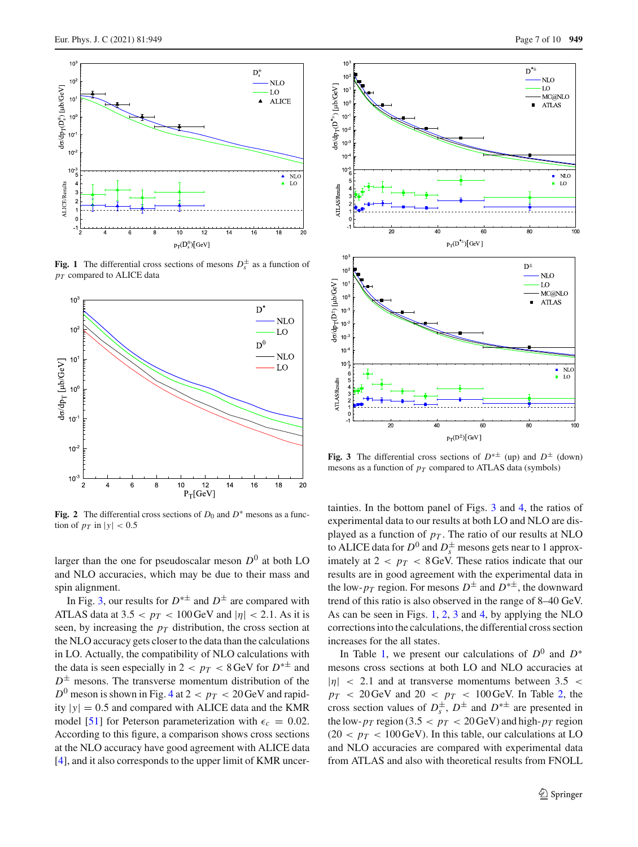

<span id="page-6-0"></span>**Fig. 1** The differential cross sections of mesons  $D_s^{\pm}$  as a function of *pT* compared to ALICE data



<span id="page-6-1"></span>**Fig. 2** The differential cross sections of  $D_0$  and  $D^*$  mesons as a function of  $p_T$  in  $|y| < 0.5$ 

larger than the one for pseudoscalar meson *D*<sup>0</sup> at both LO and NLO accuracies, which may be due to their mass and spin alignment.

In Fig. [3,](#page-6-2) our results for  $D^{*\pm}$  and  $D^{\pm}$  are compared with ATLAS data at  $3.5 < p_T < 100$  GeV and  $|\eta| < 2.1$ . As it is seen, by increasing the  $p<sub>T</sub>$  distribution, the cross section at the NLO accuracy gets closer to the data than the calculations in LO. Actually, the compatibility of NLO calculations with the data is seen especially in 2 <  $p_T < 8$  GeV for  $D^{*\pm}$  and  $D^{\pm}$  mesons. The transverse momentum distribution of the  $D^0$  meson is shown in Fig. [4](#page-7-0) at  $2 < p_T < 20$  GeV and rapidity  $|y| = 0.5$  and compared with ALICE data and the KMR model [\[51\]](#page-9-22) for Peterson parameterization with  $\epsilon_c = 0.02$ . According to this figure, a comparison shows cross sections at the NLO accuracy have good agreement with ALICE data [\[4](#page-8-3)], and it also corresponds to the upper limit of KMR uncer-



<span id="page-6-2"></span>**Fig. 3** The differential cross sections of  $D^{* \pm}$  (up) and  $D^{\pm}$  (down) mesons as a function of  $p_T$  compared to ATLAS data (symbols)

tainties. In the bottom panel of Figs. [3](#page-6-2) and [4,](#page-7-0) the ratios of experimental data to our results at both LO and NLO are displayed as a function of  $p<sub>T</sub>$ . The ratio of our results at NLO to ALICE data for  $D^0$  and  $D_s^{\pm}$  mesons gets near to 1 approximately at  $2 < p_T < 8$  GeV. These ratios indicate that our results are in good agreement with the experimental data in the low- $p_T$  region. For mesons  $D^{\pm}$  and  $D^{*\pm}$ , the downward trend of this ratio is also observed in the range of 8–40 GeV. As can be seen in Figs. [1,](#page-6-0) [2,](#page-6-1) [3](#page-6-2) and [4,](#page-7-0) by applying the NLO corrections into the calculations, the differential cross section increases for the all states.

In Table [1,](#page-7-1) we present our calculations of  $D^0$  and  $D^*$ mesons cross sections at both LO and NLO accuracies at  $|\eta|$  < 2.1 and at transverse momentums between 3.5 <  $p_T$  < 20 GeV and 20 <  $p_T$  < 100 GeV. In Table [2,](#page-7-2) the cross section values of  $D_s^{\pm}$ ,  $D^{\pm}$  and  $D^{*\pm}$  are presented in the low- $p_T$  region (3.5  $\lt p_T < 20$  GeV) and high- $p_T$  region  $(20 < p_T < 100 \,\text{GeV})$ . In this table, our calculations at LO and NLO accuracies are compared with experimental data from ATLAS and also with theoretical results from FNOLL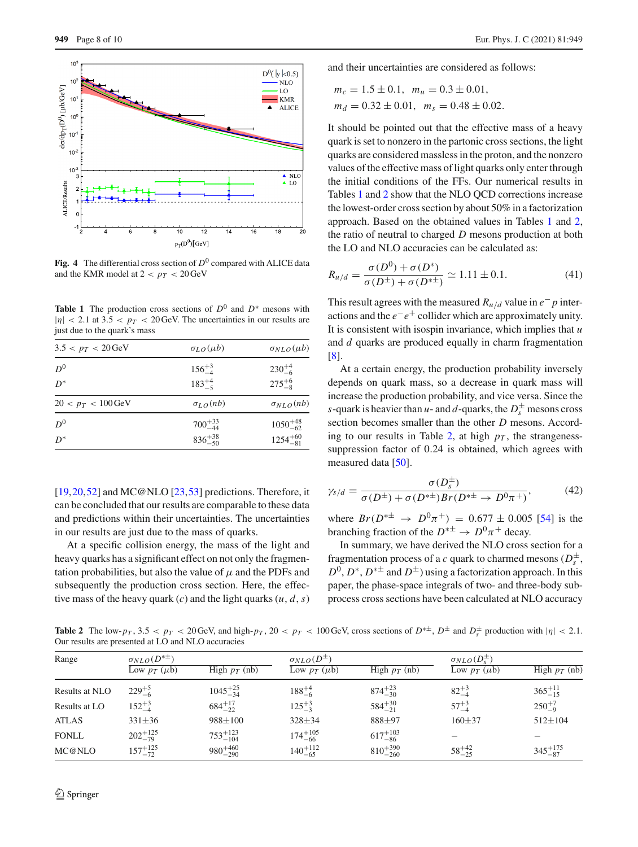

<span id="page-7-0"></span>**Fig. 4** The differential cross section of  $D^0$  compared with ALICE data and the KMR model at  $2 < p_T < 20 \,\text{GeV}$ 

<span id="page-7-1"></span>**Table 1** The production cross sections of  $D^0$  and  $D^*$  mesons with  $|\eta|$  < 2.1 at 3.5 <  $p_T$  < 20 GeV. The uncertainties in our results are just due to the quark's mass

| $3.5 < p_T < 20$ GeV          | $\sigma_{LO}(\mu b)$ | $\sigma_{NLO}(\mu b)$ |  |
|-------------------------------|----------------------|-----------------------|--|
| $D^0$                         | $156^{+3}_{-4}$      | $230^{+4}_{-6}$       |  |
| $D^*$                         | $183^{+4}_{-5}$      | $275^{+6}_{-8}$       |  |
| $20 < p_T < 100 \,\text{GeV}$ | $\sigma_{LO}(nb)$    | $\sigma_{NLO}(nb)$    |  |
| $D^0$                         | $700^{+33}_{-44}$    | $1050^{+48}_{-62}$    |  |
| $D^*$                         | $836^{+38}_{-50}$    | $1254^{+60}_{-81}$    |  |

 $[19,20,52]$  $[19,20,52]$  $[19,20,52]$  $[19,20,52]$  and MC@NLO  $[23,53]$  $[23,53]$  predictions. Therefore, it can be concluded that our results are comparable to these data and predictions within their uncertainties. The uncertainties in our results are just due to the mass of quarks.

At a specific collision energy, the mass of the light and heavy quarks has a significant effect on not only the fragmentation probabilities, but also the value of  $\mu$  and the PDFs and subsequently the production cross section. Here, the effective mass of the heavy quark (*c*) and the light quarks  $(u, d, s)$  and their uncertainties are considered as follows:

$$
m_c = 1.5 \pm 0.1
$$
,  $m_u = 0.3 \pm 0.01$ ,  
\n $m_d = 0.32 \pm 0.01$ ,  $m_s = 0.48 \pm 0.02$ .

It should be pointed out that the effective mass of a heavy quark is set to nonzero in the partonic cross sections, the light quarks are considered massless in the proton, and the nonzero values of the effective mass of light quarks only enter through the initial conditions of the FFs. Our numerical results in Tables [1](#page-7-1) and [2](#page-7-2) show that the NLO QCD corrections increase the lowest-order cross section by about 50% in a factorization approach. Based on the obtained values in Tables [1](#page-7-1) and [2,](#page-7-2) the ratio of neutral to charged *D* mesons production at both the LO and NLO accuracies can be calculated as:

$$
R_{u/d} = \frac{\sigma(D^0) + \sigma(D^*)}{\sigma(D^{\pm}) + \sigma(D^{*\pm})} \simeq 1.11 \pm 0.1. \tag{41}
$$

This result agrees with the measured  $R_{u/d}$  value in  $e^- p$  interactions and the *e*−*e*+ collider which are approximately unity. It is consistent with isospin invariance, which implies that *u* and *d* quarks are produced equally in charm fragmentation [\[8](#page-8-7)].

At a certain energy, the production probability inversely depends on quark mass, so a decrease in quark mass will increase the production probability, and vice versa. Since the *s*-quark is heavier than *u*- and *d*-quarks, the  $D_s^{\pm}$  mesons cross section becomes smaller than the other *D* mesons. Accord-ing to our results in Table [2,](#page-7-2) at high  $p<sub>T</sub>$ , the strangenesssuppression factor of 0.24 is obtained, which agrees with measured data [\[50](#page-9-21)].

$$
\gamma_{s/d} = \frac{\sigma(D_s^{\pm})}{\sigma(D^{\pm}) + \sigma(D^{*\pm})Br(D^{*\pm} \to D^0 \pi^+)},\tag{42}
$$

where  $Br(D^{*\pm} \rightarrow D^0 \pi^+) = 0.677 \pm 0.005$  [\[54](#page-9-25)] is the branching fraction of the  $D^{*\pm} \to D^0 \pi^+$  decay.

In summary, we have derived the NLO cross section for a fragmentation process of a *c* quark to charmed mesons  $(D_s^{\pm})$  $D^0$ ,  $D^*$ ,  $D^{*\pm}$  and  $D^{\pm}$ ) using a factorization approach. In this paper, the phase-space integrals of two- and three-body subprocess cross sections have been calculated at NLO accuracy

<span id="page-7-2"></span>**Table 2** The low- $p_T$ ,  $3.5 < p_T < 20$  GeV, and high- $p_T$ ,  $20 < p_T < 100$  GeV, cross sections of  $D^{* \pm}$ ,  $D^{\pm}$  and  $D_s^{\pm}$  production with  $|\eta| < 2.1$ . Our results are presented at LO and NLO accuracies

| Range          | $\sigma_{NLO}(D^{*\pm})$ |                     | $\sigma_{NLO}(D^{\pm})$ |                     | $\sigma_{NLO}(D_s^{\pm})$ |                    |
|----------------|--------------------------|---------------------|-------------------------|---------------------|---------------------------|--------------------|
|                | Low $p_T(\mu b)$         | High $p_T$ (nb)     | Low $p_T(\mu b)$        | High $p_T$ (nb)     | Low $p_T(\mu b)$          | High $p_T$ (nb)    |
| Results at NLO | $229^{+5}_{-6}$          | $1045^{+25}_{-34}$  | $188^{+4}_{-6}$         | $874^{+23}_{-30}$   | $82^{+3}_{-4}$            | $365^{+11}_{-15}$  |
| Results at LO  | $152^{+3}_{-4}$          | $684^{+17}_{-22}$   | $125^{+3}_{-3}$         | $584^{+30}_{-21}$   | $57^{+3}_{-4}$            | $250^{+7}_{-9}$    |
| <b>ATLAS</b>   | $331 \pm 36$             | $988 \pm 100$       | $328 \pm 34$            | 888±97              | $160 + 37$                | $512 \pm 104$      |
| <b>FONLL</b>   | $202^{+125}_{-79}$       | $753^{+123}_{-104}$ | $174^{+105}_{-66}$      | $617^{+103}_{-86}$  |                           |                    |
| MC@NLO         | $157^{+125}_{-72}$       | $980^{+460}_{-290}$ | $140^{+112}_{-65}$      | $810^{+390}_{-260}$ | $58^{+42}_{-25}$          | $345^{+175}_{-87}$ |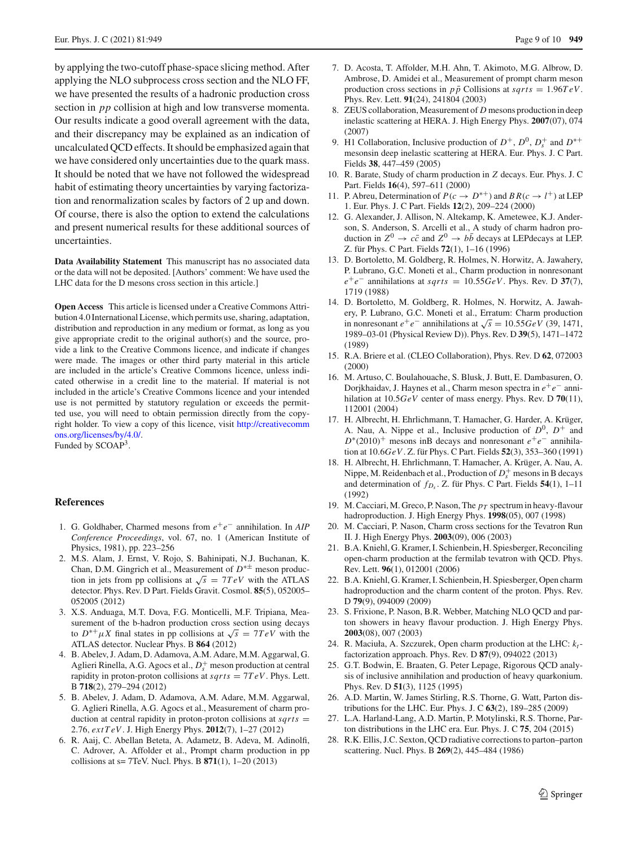by applying the two-cutoff phase-space slicing method. After applying the NLO subprocess cross section and the NLO FF, we have presented the results of a hadronic production cross section in *pp* collision at high and low transverse momenta. Our results indicate a good overall agreement with the data, and their discrepancy may be explained as an indication of uncalculated QCD effects. It should be emphasized again that we have considered only uncertainties due to the quark mass. It should be noted that we have not followed the widespread habit of estimating theory uncertainties by varying factorization and renormalization scales by factors of 2 up and down. Of course, there is also the option to extend the calculations and present numerical results for these additional sources of uncertainties.

**Data Availability Statement** This manuscript has no associated data or the data will not be deposited. [Authors' comment: We have used the LHC data for the D mesons cross section in this article.]

**Open Access** This article is licensed under a Creative Commons Attribution 4.0 International License, which permits use, sharing, adaptation, distribution and reproduction in any medium or format, as long as you give appropriate credit to the original author(s) and the source, provide a link to the Creative Commons licence, and indicate if changes were made. The images or other third party material in this article are included in the article's Creative Commons licence, unless indicated otherwise in a credit line to the material. If material is not included in the article's Creative Commons licence and your intended use is not permitted by statutory regulation or exceeds the permitted use, you will need to obtain permission directly from the copyright holder. To view a copy of this licence, visit [http://creativecomm](http://creativecommons.org/licenses/by/4.0/) [ons.org/licenses/by/4.0/.](http://creativecommons.org/licenses/by/4.0/)

Funded by SCOAP<sup>3</sup>.

### **References**

- <span id="page-8-0"></span>1. G. Goldhaber, Charmed mesons from *e*+*e*− annihilation. In *AIP Conference Proceedings*, vol. 67, no. 1 (American Institute of Physics, 1981), pp. 223–256
- <span id="page-8-1"></span>2. M.S. Alam, J. Ernst, V. Rojo, S. Bahinipati, N.J. Buchanan, K. Chan, D.M. Gingrich et al., Measurement of *D*∗± meson production in jets from pp collisions at  $\sqrt{s} = 7 TeV$  with the ATLAS detector. Phys. Rev. D Part. Fields Gravit. Cosmol. **85**(5), 052005– 052005 (2012)
- <span id="page-8-2"></span>3. X.S. Anduaga, M.T. Dova, F.G. Monticelli, M.F. Tripiana, Measurement of the b-hadron production cross section using decays to  $D^{*+}\mu X$  final states in pp collisions at  $\sqrt{s} = 7 TeV$  with the ATLAS detector. Nuclear Phys. B **864** (2012)
- <span id="page-8-3"></span>4. B. Abelev, J. Adam, D. Adamova, A.M. Adare, M.M. Aggarwal, G. Aglieri Rinella, A.G. Agocs et al.,  $D_s^+$  meson production at central rapidity in proton-proton collisions at *sqrts* = 7*TeV*. Phys. Lett. B **718**(2), 279–294 (2012)
- <span id="page-8-4"></span>5. B. Abelev, J. Adam, D. Adamova, A.M. Adare, M.M. Aggarwal, G. Aglieri Rinella, A.G. Agocs et al., Measurement of charm production at central rapidity in proton-proton collisions at *sqrts* = 2.76, *extTeV*. J. High Energy Phys. **2012**(7), 1–27 (2012)
- <span id="page-8-5"></span>6. R. Aaij, C. Abellan Beteta, A. Adametz, B. Adeva, M. Adinolfi, C. Adrover, A. Affolder et al., Prompt charm production in pp collisions at s= 7TeV. Nucl. Phys. B **871**(1), 1–20 (2013)
- <span id="page-8-6"></span>7. D. Acosta, T. Affolder, M.H. Ahn, T. Akimoto, M.G. Albrow, D. Ambrose, D. Amidei et al., Measurement of prompt charm meson production cross sections in  $p\bar{p}$  Collisions at  $sqrt{s} = 1.96 TeV$ . Phys. Rev. Lett. **91**(24), 241804 (2003)
- <span id="page-8-7"></span>8. ZEUS collaboration, Measurement of *D* mesons production in deep inelastic scattering at HERA. J. High Energy Phys. **2007**(07), 074 (2007)
- <span id="page-8-8"></span>9. H1 Collaboration, Inclusive production of  $D^+$ ,  $D^0$ ,  $D_s^+$  and  $D^{*+}$ mesonsin deep inelastic scattering at HERA. Eur. Phys. J. C Part. Fields **38**, 447–459 (2005)
- <span id="page-8-9"></span>10. R. Barate, Study of charm production in *Z* decays. Eur. Phys. J. C Part. Fields **16**(4), 597–611 (2000)
- 11. P. Abreu, Determination of  $P(c \to D^{*+})$  and  $BR(c \to l^{+})$  at LEP 1. Eur. Phys. J. C Part. Fields **12**(2), 209–224 (2000)
- 12. G. Alexander, J. Allison, N. Altekamp, K. Ametewee, K.J. Anderson, S. Anderson, S. Arcelli et al., A study of charm hadron production in  $Z^0 \rightarrow c\bar{c}$  and  $Z^0 \rightarrow b\bar{b}$  decays at LEP decays at LEP. Z. für Phys. C Part. Fields **72**(1), 1–16 (1996)
- 13. D. Bortoletto, M. Goldberg, R. Holmes, N. Horwitz, A. Jawahery, P. Lubrano, G.C. Moneti et al., Charm production in nonresonant  $e^+e^-$  annihilations at *sqrts* = 10.55*GeV*. Phys. Rev. D 37(7), 1719 (1988)
- 14. D. Bortoletto, M. Goldberg, R. Holmes, N. Horwitz, A. Jawahery, P. Lubrano, G.C. Moneti et al., Erratum: Charm production in nonresonant  $e^+e^-$  annihilations at  $\sqrt{s} = 10.55 GeV$  (39, 1471, 1989–03-01 (Physical Review D)). Phys. Rev. D **39**(5), 1471–1472 (1989)
- 15. R.A. Briere et al. (CLEO Collaboration), Phys. Rev. D **62**, 072003 (2000)
- 16. M. Artuso, C. Boulahouache, S. Blusk, J. Butt, E. Dambasuren, O. Dorjkhaidav, J. Haynes et al., Charm meson spectra in *e*+*e*− annihilation at 10.5*GeV* center of mass energy. Phys. Rev. D **70**(11), 112001 (2004)
- 17. H. Albrecht, H. Ehrlichmann, T. Hamacher, G. Harder, A. Krüger, A. Nau, A. Nippe et al., Inclusive production of  $D^0$ ,  $D^+$  and *D*<sup>∗</sup>(2010)<sup>+</sup> mesons inB decays and nonresonant  $e^+e^-$  annihilation at 10.6*GeV* . Z. für Phys. C Part. Fields **52**(3), 353–360 (1991)
- <span id="page-8-10"></span>18. H. Albrecht, H. Ehrlichmann, T. Hamacher, A. Krüger, A. Nau, A. Nippe, M. Reidenbach et al., Production of  $D_s^+$  mesons in B decays and determination of  $f_{D_s}$ . Z. für Phys. C Part. Fields **54**(1), 1–11 (1992)
- <span id="page-8-11"></span>19. M. Cacciari, M. Greco, P. Nason, The *pT* spectrum in heavy-flavour hadroproduction. J. High Energy Phys. **1998**(05), 007 (1998)
- <span id="page-8-12"></span>20. M. Cacciari, P. Nason, Charm cross sections for the Tevatron Run II. J. High Energy Phys. **2003**(09), 006 (2003)
- <span id="page-8-13"></span>21. B.A. Kniehl, G. Kramer, I. Schienbein, H. Spiesberger, Reconciling open-charm production at the fermilab tevatron with QCD. Phys. Rev. Lett. **96**(1), 012001 (2006)
- <span id="page-8-14"></span>22. B.A. Kniehl, G. Kramer, I. Schienbein, H. Spiesberger, Open charm hadroproduction and the charm content of the proton. Phys. Rev. D **79**(9), 094009 (2009)
- <span id="page-8-15"></span>23. S. Frixione, P. Nason, B.R. Webber, Matching NLO QCD and parton showers in heavy flavour production. J. High Energy Phys. **2003**(08), 007 (2003)
- <span id="page-8-16"></span>24. R. Maciuła, A. Szczurek, Open charm production at the LHC: *kt*factorization approach. Phys. Rev. D **87**(9), 094022 (2013)
- <span id="page-8-17"></span>25. G.T. Bodwin, E. Braaten, G. Peter Lepage, Rigorous QCD analysis of inclusive annihilation and production of heavy quarkonium. Phys. Rev. D **51**(3), 1125 (1995)
- <span id="page-8-18"></span>26. A.D. Martin, W. James Stirling, R.S. Thorne, G. Watt, Parton distributions for the LHC. Eur. Phys. J. C **63**(2), 189–285 (2009)
- <span id="page-8-19"></span>27. L.A. Harland-Lang, A.D. Martin, P. Motylinski, R.S. Thorne, Parton distributions in the LHC era. Eur. Phys. J. C **75**, 204 (2015)
- <span id="page-8-20"></span>28. R.K. Ellis, J.C. Sexton, QCD radiative corrections to parton–parton scattering. Nucl. Phys. B **269**(2), 445–484 (1986)